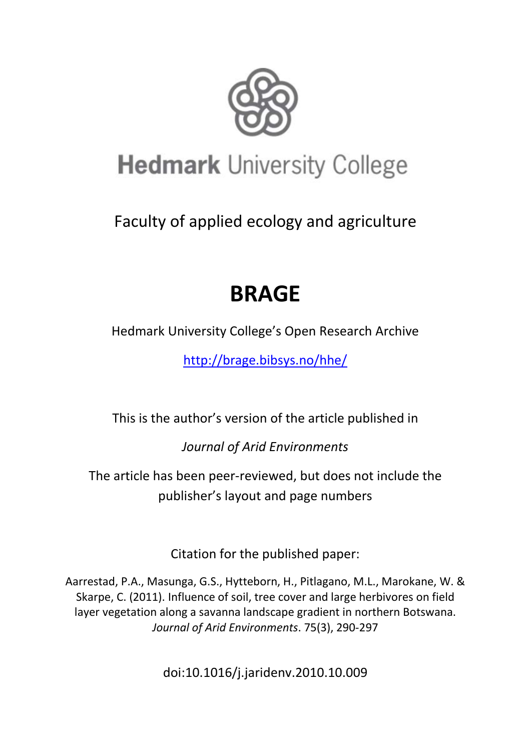

# **Hedmark University College**

Faculty of applied ecology and agriculture

# **BRAGE**

Hedmark University College's Open Research Archive

<http://brage.bibsys.no/hhe/>

This is the author's version of the article published in

*Journal of Arid Environments*

The article has been peer-reviewed, but does not include the publisher's layout and page numbers

Citation for the published paper:

Aarrestad, P.A., Masunga, G.S., Hytteborn, H., Pitlagano, M.L., Marokane, W. & Skarpe, C. (2011). Influence of soil, tree cover and large herbivores on field layer vegetation along a savanna landscape gradient in northern Botswana. *Journal of Arid Environments*. 75(3), 290-297

doi:10.1016/j.jaridenv.2010.10.009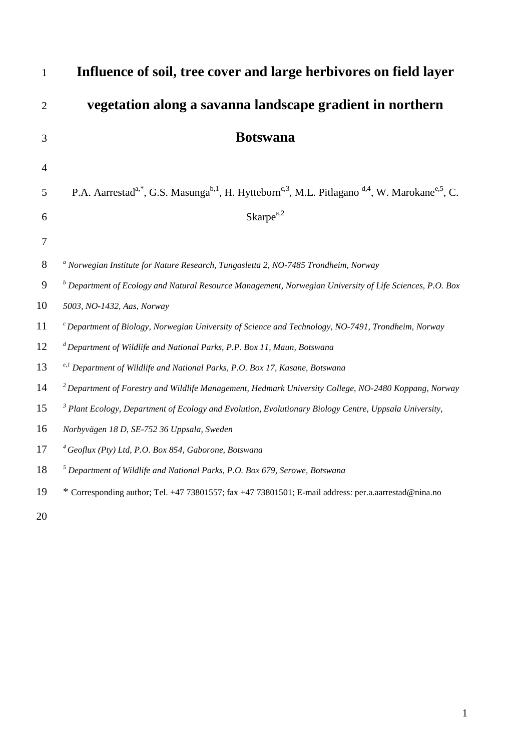| 1              | Influence of soil, tree cover and large herbivores on field layer                                                                                           |
|----------------|-------------------------------------------------------------------------------------------------------------------------------------------------------------|
| $\overline{2}$ | vegetation along a savanna landscape gradient in northern                                                                                                   |
| 3              | <b>Botswana</b>                                                                                                                                             |
| $\overline{4}$ |                                                                                                                                                             |
| 5              | P.A. Aarrestad <sup>a,*</sup> , G.S. Masunga <sup>b,1</sup> , H. Hytteborn <sup>c,3</sup> , M.L. Pitlagano <sup>d,4</sup> , W. Marokane <sup>e,5</sup> , C. |
| 6              | $Skarpe^{a,2}$                                                                                                                                              |
| $\overline{7}$ |                                                                                                                                                             |
| 8              | <sup>a</sup> Norwegian Institute for Nature Research, Tungasletta 2, NO-7485 Trondheim, Norway                                                              |
| 9              | $^b$ Department of Ecology and Natural Resource Management, Norwegian University of Life Sciences, P.O. Box                                                 |
| 10             | 5003, NO-1432, Aas, Norway                                                                                                                                  |
| 11             | $\epsilon$ Department of Biology, Norwegian University of Science and Technology, NO-7491, Trondheim, Norway                                                |
| 12             | ${}^d$ Department of Wildlife and National Parks, P.P. Box 11, Maun, Botswana                                                                               |
| 13             | <sup>e,1</sup> Department of Wildlife and National Parks, P.O. Box 17, Kasane, Botswana                                                                     |
| 14             | $2$ Department of Forestry and Wildlife Management, Hedmark University College, NO-2480 Koppang, Norway                                                     |
| 15             | <sup>3</sup> Plant Ecology, Department of Ecology and Evolution, Evolutionary Biology Centre, Uppsala University,                                           |
| 16             | Norbyvägen 18 D, SE-752 36 Uppsala, Sweden                                                                                                                  |
| 17             | $4$ Geoflux (Pty) Ltd, P.O. Box 854, Gaborone, Botswana                                                                                                     |
| 18             | $5$ Department of Wildlife and National Parks, P.O. Box 679, Serowe, Botswana                                                                               |
| 19             | * Corresponding author; Tel. +47 73801557; fax +47 73801501; E-mail address: per.a.aarrestad@nina.no                                                        |
| 20             |                                                                                                                                                             |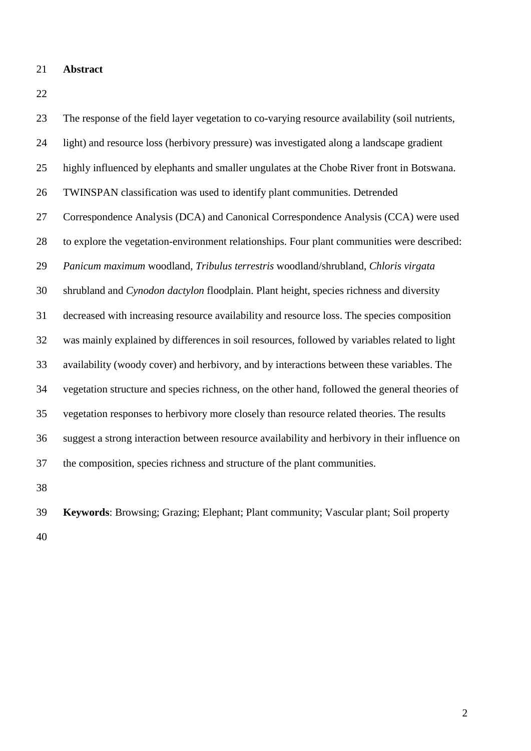## **Abstract**

 The response of the field layer vegetation to co-varying resource availability (soil nutrients, light) and resource loss (herbivory pressure) was investigated along a landscape gradient highly influenced by elephants and smaller ungulates at the Chobe River front in Botswana. TWINSPAN classification was used to identify plant communities. Detrended Correspondence Analysis (DCA) and Canonical Correspondence Analysis (CCA) were used to explore the vegetation-environment relationships. Four plant communities were described: *Panicum maximum* woodland, *Tribulus terrestris* woodland/shrubland, *Chloris virgata* shrubland and *Cynodon dactylon* floodplain. Plant height, species richness and diversity decreased with increasing resource availability and resource loss. The species composition was mainly explained by differences in soil resources, followed by variables related to light availability (woody cover) and herbivory, and by interactions between these variables. The vegetation structure and species richness, on the other hand, followed the general theories of vegetation responses to herbivory more closely than resource related theories. The results suggest a strong interaction between resource availability and herbivory in their influence on the composition, species richness and structure of the plant communities. 

 **Keywords**: Browsing; Grazing; Elephant; Plant community; Vascular plant; Soil property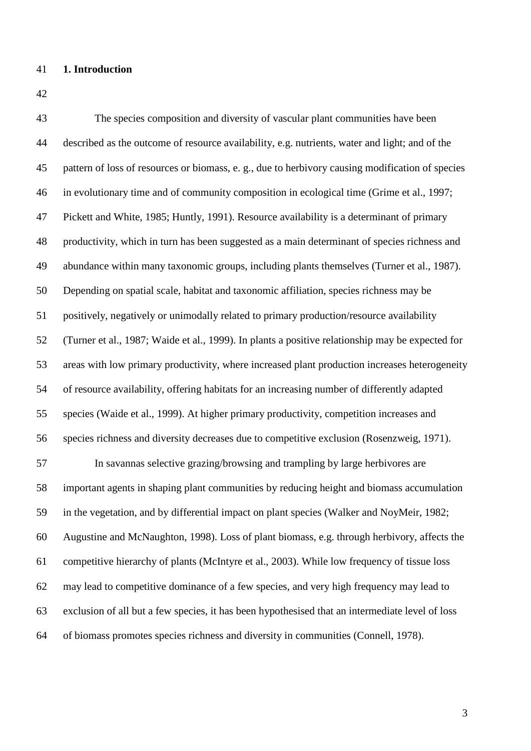# **1. Introduction**

 The species composition and diversity of vascular plant communities have been described as the outcome of resource availability, e.g. nutrients, water and light; and of the pattern of loss of resources or biomass, e. g., due to herbivory causing modification of species in evolutionary time and of community composition in ecological time (Grime et al., 1997; Pickett and White, 1985; Huntly, 1991). Resource availability is a determinant of primary productivity, which in turn has been suggested as a main determinant of species richness and abundance within many taxonomic groups, including plants themselves (Turner et al., 1987). Depending on spatial scale, habitat and taxonomic affiliation, species richness may be positively, negatively or unimodally related to primary production/resource availability (Turner et al., 1987; Waide et al., 1999). In plants a positive relationship may be expected for areas with low primary productivity, where increased plant production increases heterogeneity of resource availability, offering habitats for an increasing number of differently adapted species (Waide et al., 1999). At higher primary productivity, competition increases and species richness and diversity decreases due to competitive exclusion (Rosenzweig, 1971). In savannas selective grazing/browsing and trampling by large herbivores are important agents in shaping plant communities by reducing height and biomass accumulation in the vegetation, and by differential impact on plant species (Walker and NoyMeir, 1982; Augustine and McNaughton, 1998). Loss of plant biomass, e.g. through herbivory, affects the competitive hierarchy of plants (McIntyre et al., 2003). While low frequency of tissue loss may lead to competitive dominance of a few species, and very high frequency may lead to exclusion of all but a few species, it has been hypothesised that an intermediate level of loss of biomass promotes species richness and diversity in communities (Connell, 1978).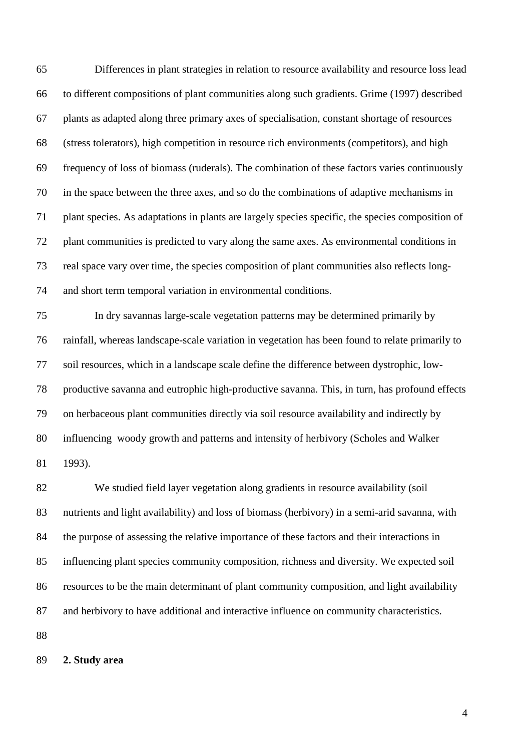Differences in plant strategies in relation to resource availability and resource loss lead to different compositions of plant communities along such gradients. Grime (1997) described plants as adapted along three primary axes of specialisation, constant shortage of resources (stress tolerators), high competition in resource rich environments (competitors), and high frequency of loss of biomass (ruderals). The combination of these factors varies continuously in the space between the three axes, and so do the combinations of adaptive mechanisms in plant species. As adaptations in plants are largely species specific, the species composition of plant communities is predicted to vary along the same axes. As environmental conditions in real space vary over time, the species composition of plant communities also reflects long-and short term temporal variation in environmental conditions.

 In dry savannas large-scale vegetation patterns may be determined primarily by rainfall, whereas landscape-scale variation in vegetation has been found to relate primarily to soil resources, which in a landscape scale define the difference between dystrophic, low- productive savanna and eutrophic high-productive savanna. This, in turn, has profound effects on herbaceous plant communities directly via soil resource availability and indirectly by influencing woody growth and patterns and intensity of herbivory (Scholes and Walker 1993).

 We studied field layer vegetation along gradients in resource availability (soil nutrients and light availability) and loss of biomass (herbivory) in a semi-arid savanna, with the purpose of assessing the relative importance of these factors and their interactions in influencing plant species community composition, richness and diversity. We expected soil resources to be the main determinant of plant community composition, and light availability and herbivory to have additional and interactive influence on community characteristics.

**2. Study area**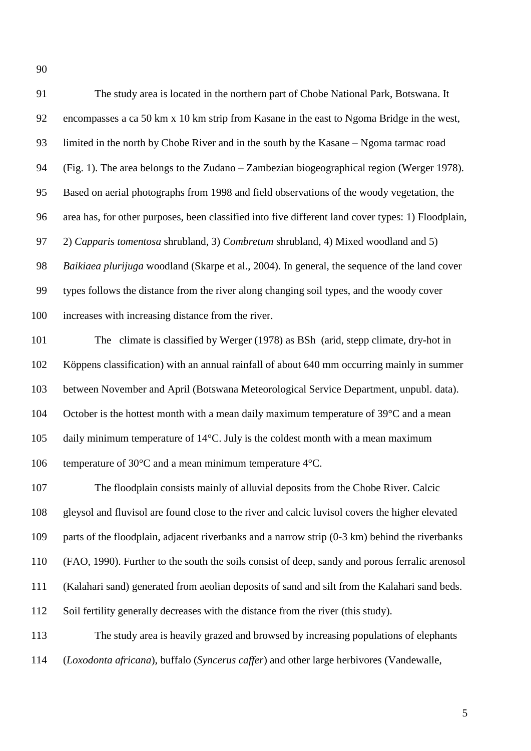The study area is located in the northern part of Chobe National Park, Botswana. It encompasses a ca 50 km x 10 km strip from Kasane in the east to Ngoma Bridge in the west, limited in the north by Chobe River and in the south by the Kasane – Ngoma tarmac road (Fig. 1). The area belongs to the Zudano – Zambezian biogeographical region (Werger 1978). Based on aerial photographs from 1998 and field observations of the woody vegetation, the area has, for other purposes, been classified into five different land cover types: 1) Floodplain, 2) *Capparis tomentosa* shrubland, 3) *Combretum* shrubland, 4) Mixed woodland and 5) *Baikiaea plurijuga* woodland (Skarpe et al., 2004). In general, the sequence of the land cover types follows the distance from the river along changing soil types, and the woody cover increases with increasing distance from the river.

 The climate is classified by Werger (1978) as BSh (arid, stepp climate, dry-hot in Köppens classification) with an annual rainfall of about 640 mm occurring mainly in summer between November and April (Botswana Meteorological Service Department, unpubl. data). 104 October is the hottest month with a mean daily maximum temperature of 39°C and a mean daily minimum temperature of 14°C. July is the coldest month with a mean maximum temperature of 30°C and a mean minimum temperature 4°C.

 The floodplain consists mainly of alluvial deposits from the Chobe River. Calcic gleysol and fluvisol are found close to the river and calcic luvisol covers the higher elevated parts of the floodplain, adjacent riverbanks and a narrow strip (0-3 km) behind the riverbanks (FAO, 1990). Further to the south the soils consist of deep, sandy and porous ferralic arenosol (Kalahari sand) generated from aeolian deposits of sand and silt from the Kalahari sand beds. Soil fertility generally decreases with the distance from the river (this study). The study area is heavily grazed and browsed by increasing populations of elephants

(*Loxodonta africana*), buffalo (*Syncerus caffer*) and other large herbivores (Vandewalle,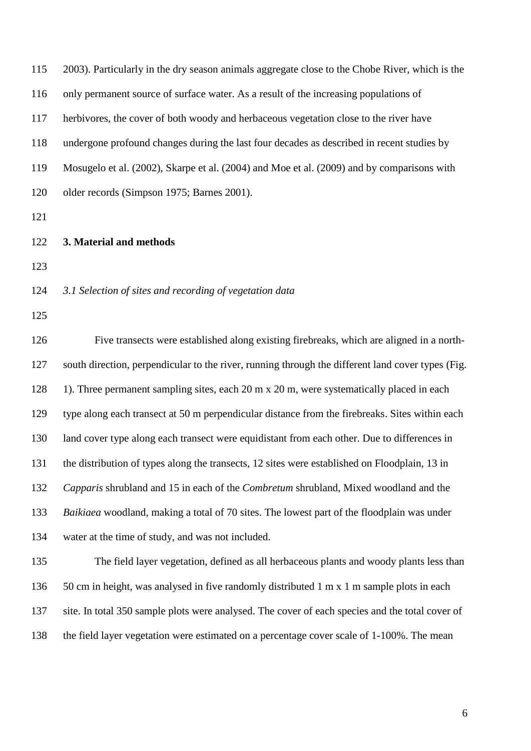| 115 | 2003). Particularly in the dry season animals aggregate close to the Chobe River, which is the    |
|-----|---------------------------------------------------------------------------------------------------|
| 116 | only permanent source of surface water. As a result of the increasing populations of              |
| 117 | herbivores, the cover of both woody and herbaceous vegetation close to the river have             |
| 118 | undergone profound changes during the last four decades as described in recent studies by         |
| 119 | Mosugelo et al. (2002), Skarpe et al. (2004) and Moe et al. (2009) and by comparisons with        |
| 120 | older records (Simpson 1975; Barnes 2001).                                                        |
| 121 |                                                                                                   |
| 122 | 3. Material and methods                                                                           |
| 123 |                                                                                                   |
| 124 | 3.1 Selection of sites and recording of vegetation data                                           |
| 125 |                                                                                                   |
| 126 | Five transects were established along existing firebreaks, which are aligned in a north-          |
| 127 | south direction, perpendicular to the river, running through the different land cover types (Fig. |
| 128 | 1). Three permanent sampling sites, each 20 m x 20 m, were systematically placed in each          |
| 129 | type along each transect at 50 m perpendicular distance from the firebreaks. Sites within each    |
| 130 | land cover type along each transect were equidistant from each other. Due to differences in       |
| 131 | the distribution of types along the transects, 12 sites were established on Floodplain, 13 in     |
| 132 | Capparis shrubland and 15 in each of the Combretum shrubland, Mixed woodland and the              |
| 133 | Baikiaea woodland, making a total of 70 sites. The lowest part of the floodplain was under        |
| 134 | water at the time of study, and was not included.                                                 |
| 135 | The field layer vegetation, defined as all herbaceous plants and woody plants less than           |
| 136 | 50 cm in height, was analysed in five randomly distributed 1 m x 1 m sample plots in each         |
| 137 | site. In total 350 sample plots were analysed. The cover of each species and the total cover of   |
| 138 | the field layer vegetation were estimated on a percentage cover scale of 1-100%. The mean         |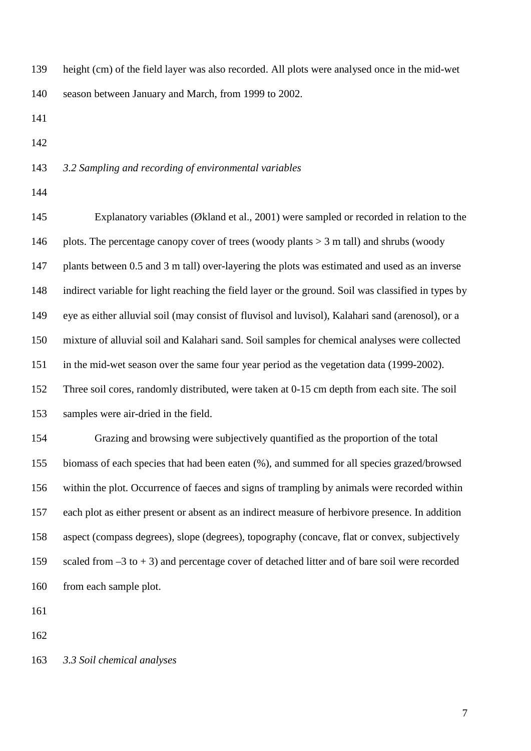height (cm) of the field layer was also recorded. All plots were analysed once in the mid-wet season between January and March, from 1999 to 2002.

#### *3.2 Sampling and recording of environmental variables*

 Explanatory variables (Økland et al., 2001) were sampled or recorded in relation to the 146 plots. The percentage canopy cover of trees (woody plants  $> 3$  m tall) and shrubs (woody plants between 0.5 and 3 m tall) over-layering the plots was estimated and used as an inverse indirect variable for light reaching the field layer or the ground. Soil was classified in types by eye as either alluvial soil (may consist of fluvisol and luvisol), Kalahari sand (arenosol), or a mixture of alluvial soil and Kalahari sand. Soil samples for chemical analyses were collected in the mid-wet season over the same four year period as the vegetation data (1999-2002). Three soil cores, randomly distributed, were taken at 0-15 cm depth from each site. The soil samples were air-dried in the field. Grazing and browsing were subjectively quantified as the proportion of the total biomass of each species that had been eaten (%), and summed for all species grazed/browsed within the plot. Occurrence of faeces and signs of trampling by animals were recorded within each plot as either present or absent as an indirect measure of herbivore presence. In addition aspect (compass degrees), slope (degrees), topography (concave, flat or convex, subjectively scaled from –3 to + 3) and percentage cover of detached litter and of bare soil were recorded from each sample plot.

*3.3 Soil chemical analyses*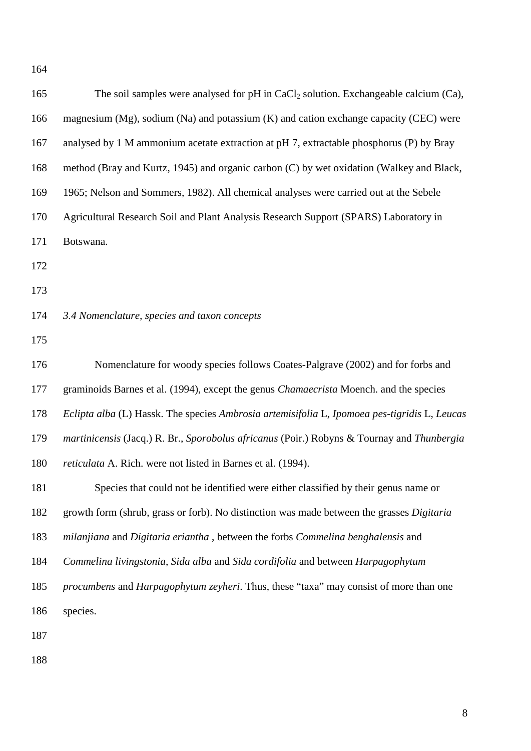| 165 | The soil samples were analysed for $pH$ in CaCl <sub>2</sub> solution. Exchangeable calcium (Ca), |
|-----|---------------------------------------------------------------------------------------------------|
| 166 | magnesium (Mg), sodium (Na) and potassium $(K)$ and cation exchange capacity (CEC) were           |
| 167 | analysed by 1 M ammonium acetate extraction at pH 7, extractable phosphorus (P) by Bray           |
| 168 | method (Bray and Kurtz, 1945) and organic carbon (C) by wet oxidation (Walkey and Black,          |
| 169 | 1965; Nelson and Sommers, 1982). All chemical analyses were carried out at the Sebele             |
| 170 | Agricultural Research Soil and Plant Analysis Research Support (SPARS) Laboratory in              |
| 171 | Botswana.                                                                                         |
| 172 |                                                                                                   |
| 173 |                                                                                                   |
| 174 | 3.4 Nomenclature, species and taxon concepts                                                      |
| 175 |                                                                                                   |
| 176 | Nomenclature for woody species follows Coates-Palgrave (2002) and for forbs and                   |
| 177 | graminoids Barnes et al. (1994), except the genus <i>Chamaecrista</i> Moench. and the species     |
| 178 | Eclipta alba (L) Hassk. The species Ambrosia artemisifolia L, Ipomoea pes-tigridis L, Leucas      |
| 179 | martinicensis (Jacq.) R. Br., Sporobolus africanus (Poir.) Robyns & Tournay and Thunbergia        |
| 180 | <i>reticulata</i> A. Rich. were not listed in Barnes et al. (1994).                               |
| 181 | Species that could not be identified were either classified by their genus name or                |
| 182 | growth form (shrub, grass or forb). No distinction was made between the grasses Digitaria         |
| 183 | milanjiana and Digitaria eriantha, between the forbs Commelina benghalensis and                   |
| 184 | Commelina livingstonia, Sida alba and Sida cordifolia and between Harpagophytum                   |
| 185 | procumbens and Harpagophytum zeyheri. Thus, these "taxa" may consist of more than one             |
| 186 | species.                                                                                          |
| 187 |                                                                                                   |
| 188 |                                                                                                   |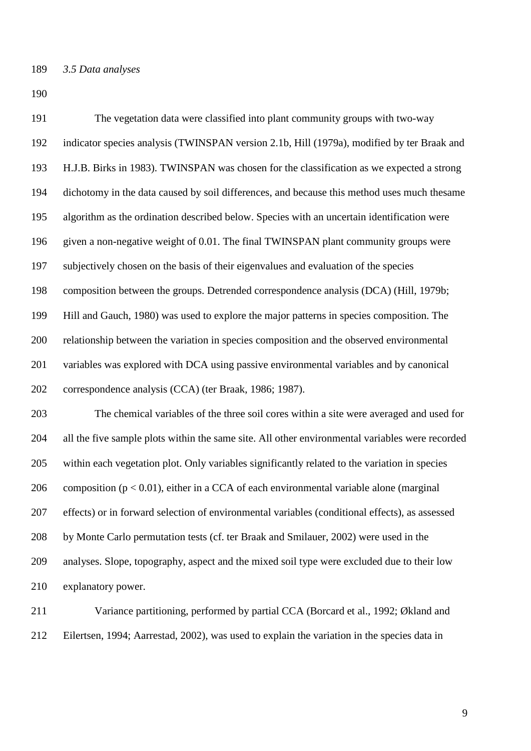The vegetation data were classified into plant community groups with two-way indicator species analysis (TWINSPAN version 2.1b, Hill (1979a), modified by ter Braak and H.J.B. Birks in 1983). TWINSPAN was chosen for the classification as we expected a strong dichotomy in the data caused by soil differences, and because this method uses much thesame algorithm as the ordination described below. Species with an uncertain identification were given a non-negative weight of 0.01. The final TWINSPAN plant community groups were subjectively chosen on the basis of their eigenvalues and evaluation of the species composition between the groups. Detrended correspondence analysis (DCA) (Hill, 1979b; Hill and Gauch, 1980) was used to explore the major patterns in species composition. The relationship between the variation in species composition and the observed environmental variables was explored with DCA using passive environmental variables and by canonical correspondence analysis (CCA) (ter Braak, 1986; 1987). The chemical variables of the three soil cores within a site were averaged and used for

 all the five sample plots within the same site. All other environmental variables were recorded within each vegetation plot. Only variables significantly related to the variation in species 206 composition ( $p < 0.01$ ), either in a CCA of each environmental variable alone (marginal effects) or in forward selection of environmental variables (conditional effects), as assessed by Monte Carlo permutation tests (cf. ter Braak and Smilauer, 2002) were used in the analyses. Slope, topography, aspect and the mixed soil type were excluded due to their low explanatory power.

 Variance partitioning, performed by partial CCA (Borcard et al., 1992; Økland and Eilertsen, 1994; Aarrestad, 2002), was used to explain the variation in the species data in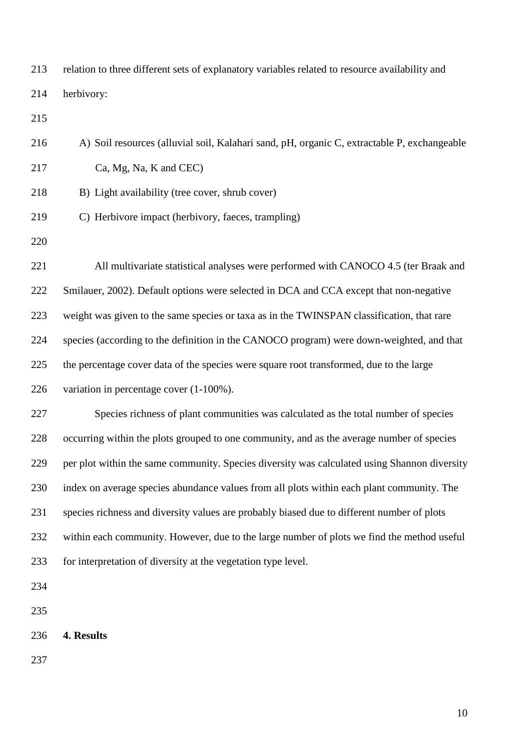relation to three different sets of explanatory variables related to resource availability and herbivory:

A) Soil resources (alluvial soil, Kalahari sand, pH, organic C, extractable P, exchangeable

Ca, Mg, Na, K and CEC)

- B) Light availability (tree cover, shrub cover)
- C) Herbivore impact (herbivory, faeces, trampling)
- 

 All multivariate statistical analyses were performed with CANOCO 4.5 (ter Braak and Smilauer, 2002). Default options were selected in DCA and CCA except that non-negative weight was given to the same species or taxa as in the TWINSPAN classification, that rare species (according to the definition in the CANOCO program) were down-weighted, and that the percentage cover data of the species were square root transformed, due to the large variation in percentage cover (1-100%).

 Species richness of plant communities was calculated as the total number of species occurring within the plots grouped to one community, and as the average number of species per plot within the same community. Species diversity was calculated using Shannon diversity index on average species abundance values from all plots within each plant community. The species richness and diversity values are probably biased due to different number of plots within each community. However, due to the large number of plots we find the method useful for interpretation of diversity at the vegetation type level.

- 
- **4. Results**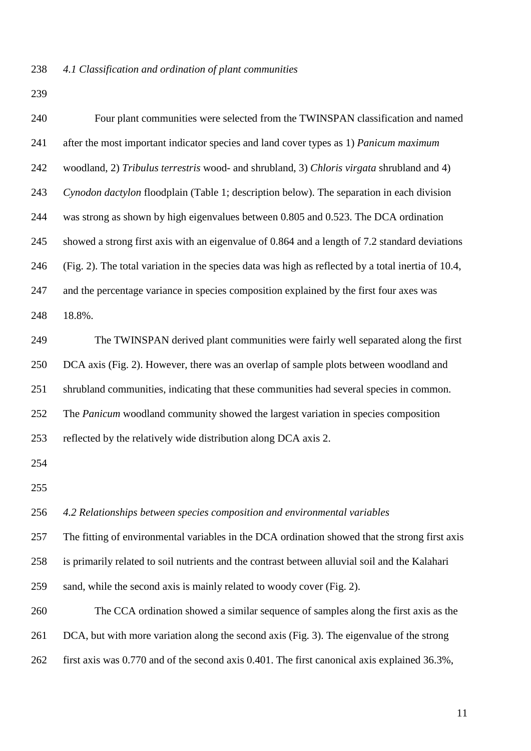| 240 | Four plant communities were selected from the TWINSPAN classification and named                     |
|-----|-----------------------------------------------------------------------------------------------------|
| 241 | after the most important indicator species and land cover types as 1) Panicum maximum               |
| 242 | woodland, 2) Tribulus terrestris wood- and shrubland, 3) Chloris virgata shrubland and 4)           |
| 243 | Cynodon dactylon floodplain (Table 1; description below). The separation in each division           |
| 244 | was strong as shown by high eigenvalues between 0.805 and 0.523. The DCA ordination                 |
| 245 | showed a strong first axis with an eigenvalue of 0.864 and a length of 7.2 standard deviations      |
| 246 | (Fig. 2). The total variation in the species data was high as reflected by a total inertia of 10.4, |
| 247 | and the percentage variance in species composition explained by the first four axes was             |
| 248 | 18.8%.                                                                                              |
| 249 | The TWINSPAN derived plant communities were fairly well separated along the first                   |
| 250 | DCA axis (Fig. 2). However, there was an overlap of sample plots between woodland and               |
| 251 | shrubland communities, indicating that these communities had several species in common.             |
| 252 | The <i>Panicum</i> woodland community showed the largest variation in species composition           |
| 253 | reflected by the relatively wide distribution along DCA axis 2.                                     |
| 254 |                                                                                                     |
| 255 |                                                                                                     |
| 256 | 4.2 Relationships between species composition and environmental variables                           |
| 257 | The fitting of environmental variables in the DCA ordination showed that the strong first axis      |
| 258 | is primarily related to soil nutrients and the contrast between alluvial soil and the Kalahari      |
| 259 | sand, while the second axis is mainly related to woody cover (Fig. 2).                              |
| 260 | The CCA ordination showed a similar sequence of samples along the first axis as the                 |
| 261 | DCA, but with more variation along the second axis (Fig. 3). The eigenvalue of the strong           |
| 262 | first axis was 0.770 and of the second axis 0.401. The first canonical axis explained 36.3%,        |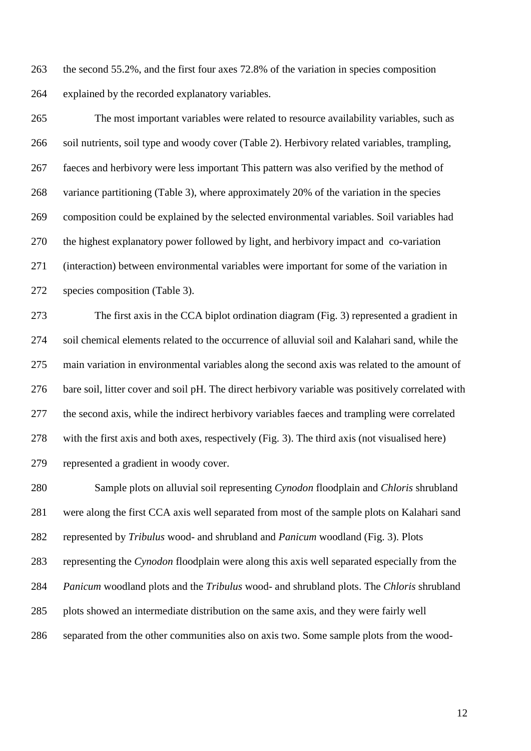the second 55.2%, and the first four axes 72.8% of the variation in species composition explained by the recorded explanatory variables.

 The most important variables were related to resource availability variables, such as soil nutrients, soil type and woody cover (Table 2). Herbivory related variables, trampling, faeces and herbivory were less important This pattern was also verified by the method of variance partitioning (Table 3), where approximately 20% of the variation in the species composition could be explained by the selected environmental variables. Soil variables had the highest explanatory power followed by light, and herbivory impact and co-variation (interaction) between environmental variables were important for some of the variation in species composition (Table 3).

 The first axis in the CCA biplot ordination diagram (Fig. 3) represented a gradient in soil chemical elements related to the occurrence of alluvial soil and Kalahari sand, while the main variation in environmental variables along the second axis was related to the amount of bare soil, litter cover and soil pH. The direct herbivory variable was positively correlated with the second axis, while the indirect herbivory variables faeces and trampling were correlated with the first axis and both axes, respectively (Fig. 3). The third axis (not visualised here) represented a gradient in woody cover.

 Sample plots on alluvial soil representing *Cynodon* floodplain and *Chloris* shrubland were along the first CCA axis well separated from most of the sample plots on Kalahari sand represented by *Tribulus* wood- and shrubland and *Panicum* woodland (Fig. 3). Plots representing the *Cynodon* floodplain were along this axis well separated especially from the *Panicum* woodland plots and the *Tribulus* wood- and shrubland plots. The *Chloris* shrubland plots showed an intermediate distribution on the same axis, and they were fairly well separated from the other communities also on axis two. Some sample plots from the wood-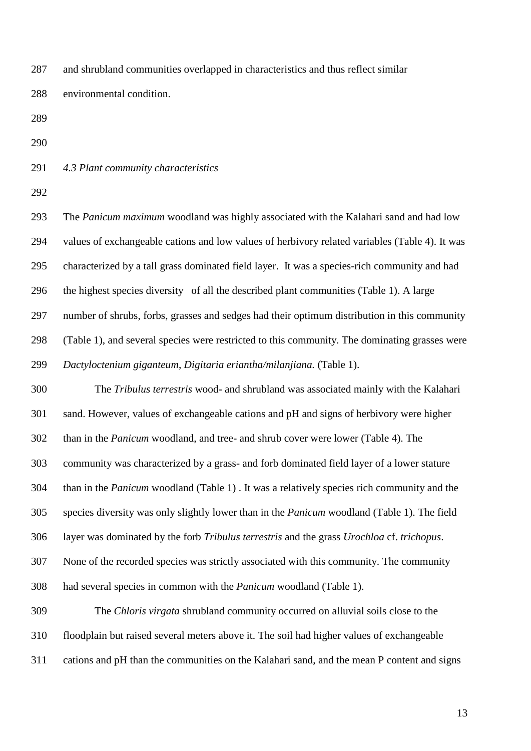and shrubland communities overlapped in characteristics and thus reflect similar environmental condition.

*4.3 Plant community characteristics*

 The *Panicum maximum* woodland was highly associated with the Kalahari sand and had low values of exchangeable cations and low values of herbivory related variables (Table 4). It was characterized by a tall grass dominated field layer. It was a species-rich community and had the highest species diversity of all the described plant communities (Table 1). A large number of shrubs, forbs, grasses and sedges had their optimum distribution in this community (Table 1), and several species were restricted to this community. The dominating grasses were *Dactyloctenium giganteum*, *Digitaria eriantha/milanjiana.* (Table 1).

 The *Tribulus terrestris* wood- and shrubland was associated mainly with the Kalahari sand. However, values of exchangeable cations and pH and signs of herbivory were higher than in the *Panicum* woodland, and tree- and shrub cover were lower (Table 4). The community was characterized by a grass- and forb dominated field layer of a lower stature than in the *Panicum* woodland (Table 1) . It was a relatively species rich community and the species diversity was only slightly lower than in the *Panicum* woodland (Table 1). The field layer was dominated by the forb *Tribulus terrestris* and the grass *Urochloa* cf. *trichopus*. None of the recorded species was strictly associated with this community. The community had several species in common with the *Panicum* woodland (Table 1). The *Chloris virgata* shrubland community occurred on alluvial soils close to the floodplain but raised several meters above it. The soil had higher values of exchangeable

cations and pH than the communities on the Kalahari sand, and the mean P content and signs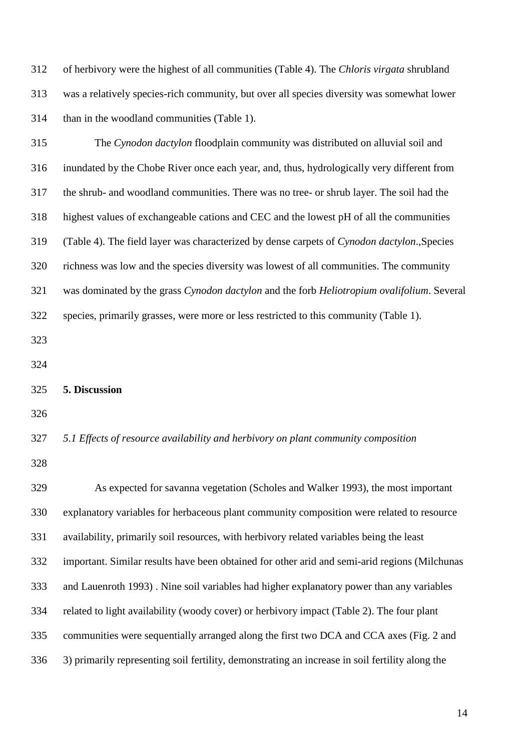of herbivory were the highest of all communities (Table 4). The *Chloris virgata* shrubland was a relatively species-rich community, but over all species diversity was somewhat lower than in the woodland communities (Table 1).

 The *Cynodon dactylon* floodplain community was distributed on alluvial soil and inundated by the Chobe River once each year, and, thus, hydrologically very different from the shrub- and woodland communities. There was no tree- or shrub layer. The soil had the highest values of exchangeable cations and CEC and the lowest pH of all the communities (Table 4). The field layer was characterized by dense carpets of *Cynodon dactylon*.,Species richness was low and the species diversity was lowest of all communities. The community was dominated by the grass *Cynodon dactylon* and the forb *Heliotropium ovalifolium*. Several species, primarily grasses, were more or less restricted to this community (Table 1). 

#### **5. Discussion**

# *5.1 Effects of resource availability and herbivory on plant community composition*

 As expected for savanna vegetation (Scholes and Walker 1993), the most important explanatory variables for herbaceous plant community composition were related to resource availability, primarily soil resources, with herbivory related variables being the least important. Similar results have been obtained for other arid and semi-arid regions (Milchunas and Lauenroth 1993) . Nine soil variables had higher explanatory power than any variables related to light availability (woody cover) or herbivory impact (Table 2). The four plant communities were sequentially arranged along the first two DCA and CCA axes (Fig. 2 and 3) primarily representing soil fertility, demonstrating an increase in soil fertility along the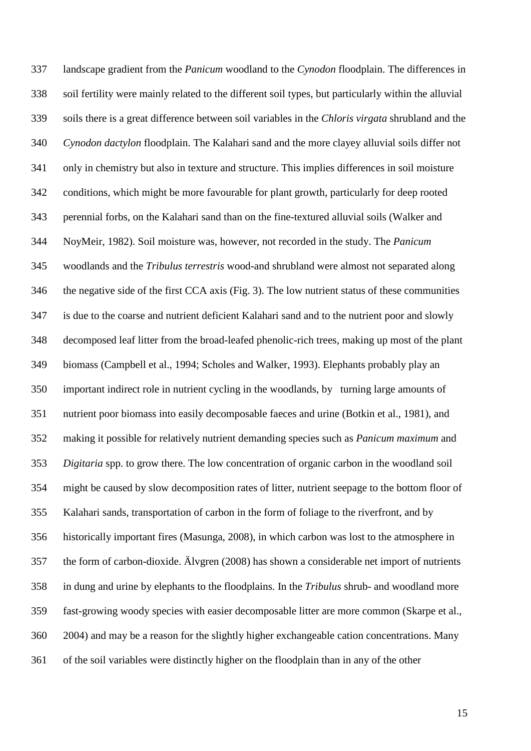landscape gradient from the *Panicum* woodland to the *Cynodon* floodplain. The differences in soil fertility were mainly related to the different soil types, but particularly within the alluvial soils there is a great difference between soil variables in the *Chloris virgata* shrubland and the *Cynodon dactylon* floodplain. The Kalahari sand and the more clayey alluvial soils differ not only in chemistry but also in texture and structure. This implies differences in soil moisture conditions, which might be more favourable for plant growth, particularly for deep rooted perennial forbs, on the Kalahari sand than on the fine-textured alluvial soils (Walker and NoyMeir, 1982). Soil moisture was, however, not recorded in the study. The *Panicum* woodlands and the *Tribulus terrestris* wood-and shrubland were almost not separated along the negative side of the first CCA axis (Fig. 3). The low nutrient status of these communities is due to the coarse and nutrient deficient Kalahari sand and to the nutrient poor and slowly decomposed leaf litter from the broad-leafed phenolic-rich trees, making up most of the plant biomass (Campbell et al., 1994; Scholes and Walker, 1993). Elephants probably play an important indirect role in nutrient cycling in the woodlands, by turning large amounts of nutrient poor biomass into easily decomposable faeces and urine (Botkin et al., 1981), and making it possible for relatively nutrient demanding species such as *Panicum maximum* and *Digitaria* spp. to grow there. The low concentration of organic carbon in the woodland soil might be caused by slow decomposition rates of litter, nutrient seepage to the bottom floor of Kalahari sands, transportation of carbon in the form of foliage to the riverfront, and by historically important fires (Masunga, 2008), in which carbon was lost to the atmosphere in the form of carbon-dioxide. Älvgren (2008) has shown a considerable net import of nutrients in dung and urine by elephants to the floodplains. In the *Tribulus* shrub- and woodland more fast-growing woody species with easier decomposable litter are more common (Skarpe et al., 2004) and may be a reason for the slightly higher exchangeable cation concentrations. Many of the soil variables were distinctly higher on the floodplain than in any of the other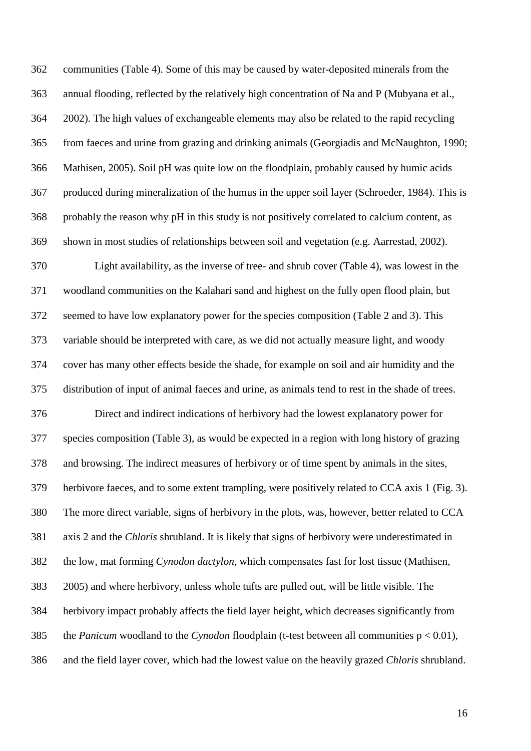communities (Table 4). Some of this may be caused by water-deposited minerals from the annual flooding, reflected by the relatively high concentration of Na and P (Mubyana et al., 2002). The high values of exchangeable elements may also be related to the rapid recycling from faeces and urine from grazing and drinking animals (Georgiadis and McNaughton, 1990; Mathisen, 2005). Soil pH was quite low on the floodplain, probably caused by humic acids produced during mineralization of the humus in the upper soil layer (Schroeder, 1984). This is probably the reason why pH in this study is not positively correlated to calcium content, as shown in most studies of relationships between soil and vegetation (e.g. Aarrestad, 2002).

 Light availability, as the inverse of tree- and shrub cover (Table 4), was lowest in the woodland communities on the Kalahari sand and highest on the fully open flood plain, but seemed to have low explanatory power for the species composition (Table 2 and 3). This variable should be interpreted with care, as we did not actually measure light, and woody cover has many other effects beside the shade, for example on soil and air humidity and the distribution of input of animal faeces and urine, as animals tend to rest in the shade of trees. Direct and indirect indications of herbivory had the lowest explanatory power for species composition (Table 3), as would be expected in a region with long history of grazing and browsing. The indirect measures of herbivory or of time spent by animals in the sites, herbivore faeces, and to some extent trampling, were positively related to CCA axis 1 (Fig. 3). The more direct variable, signs of herbivory in the plots, was, however, better related to CCA axis 2 and the *Chloris* shrubland. It is likely that signs of herbivory were underestimated in the low, mat forming *Cynodon dactylon*, which compensates fast for lost tissue (Mathisen, 2005) and where herbivory, unless whole tufts are pulled out, will be little visible. The herbivory impact probably affects the field layer height, which decreases significantly from the *Panicum* woodland to the *Cynodon* floodplain (t-test between all communities p < 0.01), and the field layer cover, which had the lowest value on the heavily grazed *Chloris* shrubland.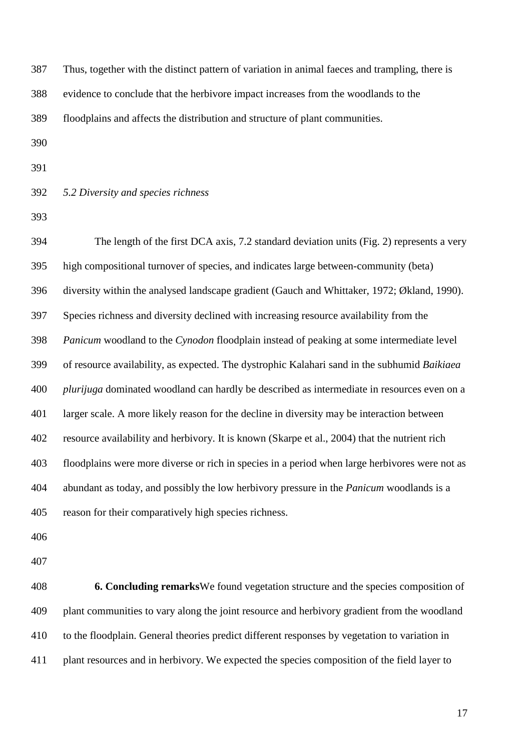| Thus, together with the distinct pattern of variation in animal faeces and trampling, there is     |
|----------------------------------------------------------------------------------------------------|
| evidence to conclude that the herbivore impact increases from the woodlands to the                 |
| floodplains and affects the distribution and structure of plant communities.                       |
|                                                                                                    |
|                                                                                                    |
| 5.2 Diversity and species richness                                                                 |
|                                                                                                    |
| The length of the first DCA axis, 7.2 standard deviation units (Fig. 2) represents a very          |
| high compositional turnover of species, and indicates large between-community (beta)               |
| diversity within the analysed landscape gradient (Gauch and Whittaker, 1972; Økland, 1990).        |
| Species richness and diversity declined with increasing resource availability from the             |
| Panicum woodland to the Cynodon floodplain instead of peaking at some intermediate level           |
| of resource availability, as expected. The dystrophic Kalahari sand in the subhumid Baikiaea       |
| <i>plurijuga</i> dominated woodland can hardly be described as intermediate in resources even on a |
| larger scale. A more likely reason for the decline in diversity may be interaction between         |
| resource availability and herbivory. It is known (Skarpe et al., 2004) that the nutrient rich      |
| floodplains were more diverse or rich in species in a period when large herbivores were not as     |
|                                                                                                    |

reason for their comparatively high species richness.

- 
- 

 **6. Concluding remarks**We found vegetation structure and the species composition of plant communities to vary along the joint resource and herbivory gradient from the woodland to the floodplain. General theories predict different responses by vegetation to variation in plant resources and in herbivory. We expected the species composition of the field layer to

abundant as today, and possibly the low herbivory pressure in the *Panicum* woodlands is a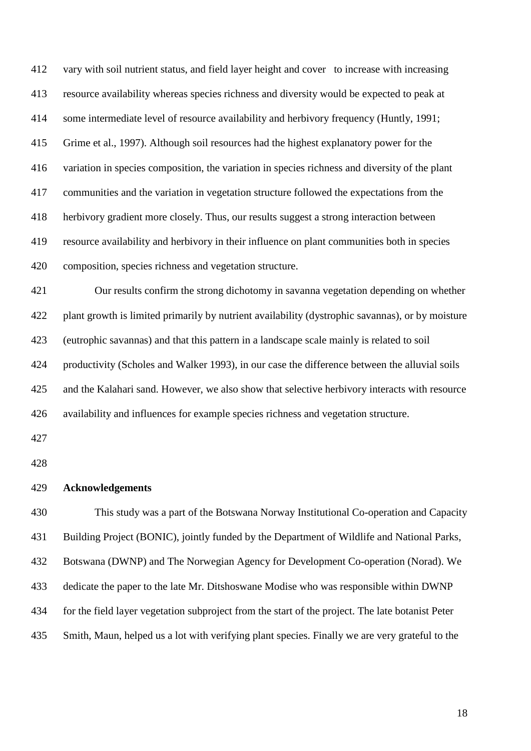vary with soil nutrient status, and field layer height and cover to increase with increasing resource availability whereas species richness and diversity would be expected to peak at some intermediate level of resource availability and herbivory frequency (Huntly, 1991; Grime et al., 1997). Although soil resources had the highest explanatory power for the variation in species composition, the variation in species richness and diversity of the plant communities and the variation in vegetation structure followed the expectations from the herbivory gradient more closely. Thus, our results suggest a strong interaction between resource availability and herbivory in their influence on plant communities both in species composition, species richness and vegetation structure.

 Our results confirm the strong dichotomy in savanna vegetation depending on whether plant growth is limited primarily by nutrient availability (dystrophic savannas), or by moisture (eutrophic savannas) and that this pattern in a landscape scale mainly is related to soil productivity (Scholes and Walker 1993), in our case the difference between the alluvial soils and the Kalahari sand. However, we also show that selective herbivory interacts with resource availability and influences for example species richness and vegetation structure.

# **Acknowledgements**

 This study was a part of the Botswana Norway Institutional Co-operation and Capacity Building Project (BONIC), jointly funded by the Department of Wildlife and National Parks, Botswana (DWNP) and The Norwegian Agency for Development Co-operation (Norad). We dedicate the paper to the late Mr. Ditshoswane Modise who was responsible within DWNP for the field layer vegetation subproject from the start of the project. The late botanist Peter Smith, Maun, helped us a lot with verifying plant species. Finally we are very grateful to the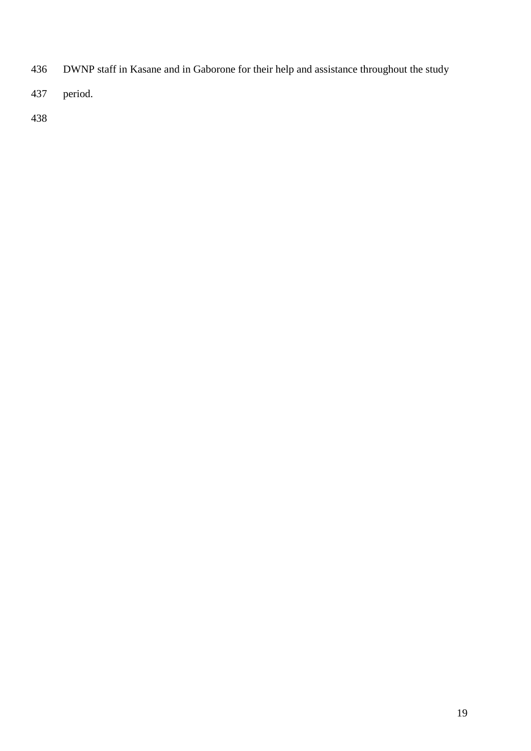- DWNP staff in Kasane and in Gaborone for their help and assistance throughout the study
- period.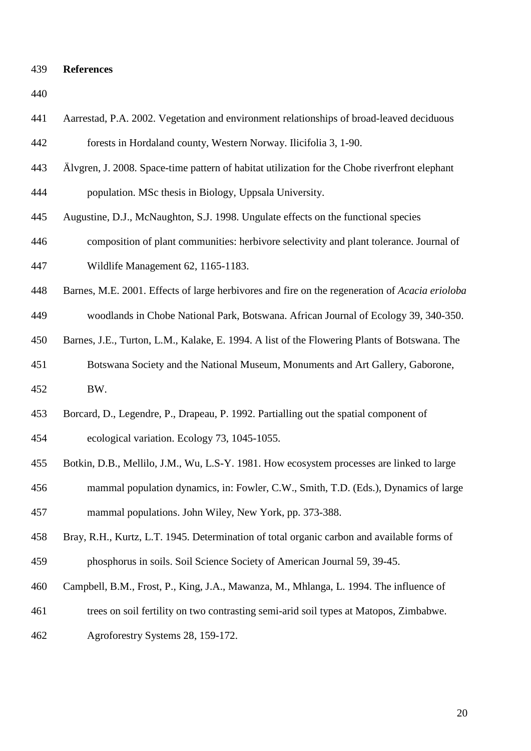#### **References**

 Älvgren, J. 2008. Space-time pattern of habitat utilization for the Chobe riverfront elephant population. MSc thesis in Biology, Uppsala University. Augustine, D.J., McNaughton, S.J. 1998. Ungulate effects on the functional species composition of plant communities: herbivore selectivity and plant tolerance. Journal of Wildlife Management 62, 1165-1183. Barnes, M.E. 2001. Effects of large herbivores and fire on the regeneration of *Acacia erioloba* woodlands in Chobe National Park, Botswana. African Journal of Ecology 39, 340-350. Barnes, J.E., Turton, L.M., Kalake, E. 1994. A list of the Flowering Plants of Botswana. The Botswana Society and the National Museum, Monuments and Art Gallery, Gaborone, BW. Borcard, D., Legendre, P., Drapeau, P. 1992. Partialling out the spatial component of ecological variation. Ecology 73, 1045-1055. Botkin, D.B., Mellilo, J.M., Wu, L.S-Y. 1981. How ecosystem processes are linked to large mammal population dynamics, in: Fowler, C.W., Smith, T.D. (Eds.), Dynamics of large mammal populations. John Wiley, New York, pp. 373-388. Bray, R.H., Kurtz, L.T. 1945. Determination of total organic carbon and available forms of phosphorus in soils. Soil Science Society of American Journal 59, 39-45. Campbell, B.M., Frost, P., King, J.A., Mawanza, M., Mhlanga, L. 1994. The influence of

Aarrestad, P.A. 2002. Vegetation and environment relationships of broad-leaved deciduous

forests in Hordaland county, Western Norway. Ilicifolia 3, 1-90.

- trees on soil fertility on two contrasting semi-arid soil types at Matopos, Zimbabwe.
- Agroforestry Systems 28, 159-172.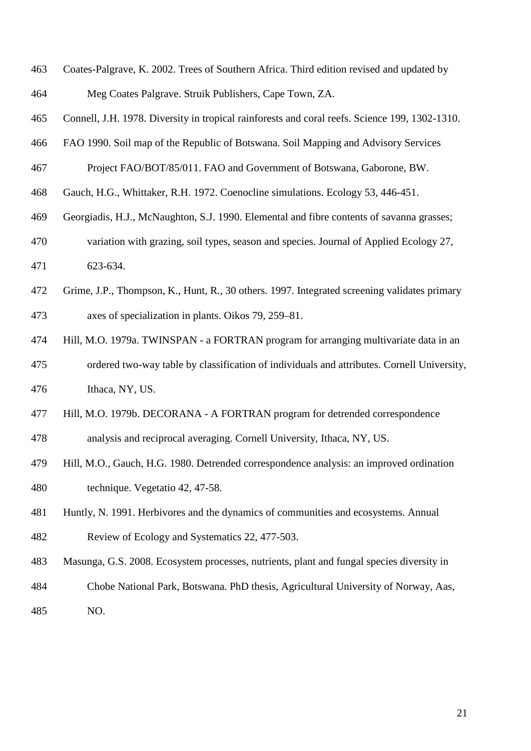- Coates-Palgrave, K. 2002. Trees of Southern Africa. Third edition revised and updated by Meg Coates Palgrave. Struik Publishers, Cape Town, ZA.
- Connell, J.H. 1978. Diversity in tropical rainforests and coral reefs. Science 199, 1302-1310.
- FAO 1990. Soil map of the Republic of Botswana. Soil Mapping and Advisory Services
- Project FAO/BOT/85/011. FAO and Government of Botswana, Gaborone, BW.
- Gauch, H.G., Whittaker, R.H. 1972. Coenocline simulations. Ecology 53, 446-451.
- Georgiadis, H.J., McNaughton, S.J. 1990. Elemental and fibre contents of savanna grasses;
- variation with grazing, soil types, season and species. Journal of Applied Ecology 27,
- 623-634.
- Grime, J.P., Thompson, K., Hunt, R., 30 others. 1997. Integrated screening validates primary axes of specialization in plants. Oikos 79, 259–81.
- Hill, M.O. 1979a. TWINSPAN a FORTRAN program for arranging multivariate data in an ordered two-way table by classification of individuals and attributes. Cornell University, Ithaca, NY, US.
- Hill, M.O. 1979b. DECORANA A FORTRAN program for detrended correspondence
- analysis and reciprocal averaging. Cornell University, Ithaca, NY, US.
- Hill, M.O., Gauch, H.G. 1980. Detrended correspondence analysis: an improved ordination technique. Vegetatio 42, 47-58.
- Huntly, N. 1991. Herbivores and the dynamics of communities and ecosystems. Annual Review of Ecology and Systematics 22, 477-503.
- Masunga, G.S. 2008. Ecosystem processes, nutrients, plant and fungal species diversity in
- Chobe National Park, Botswana. PhD thesis, Agricultural University of Norway, Aas, NO.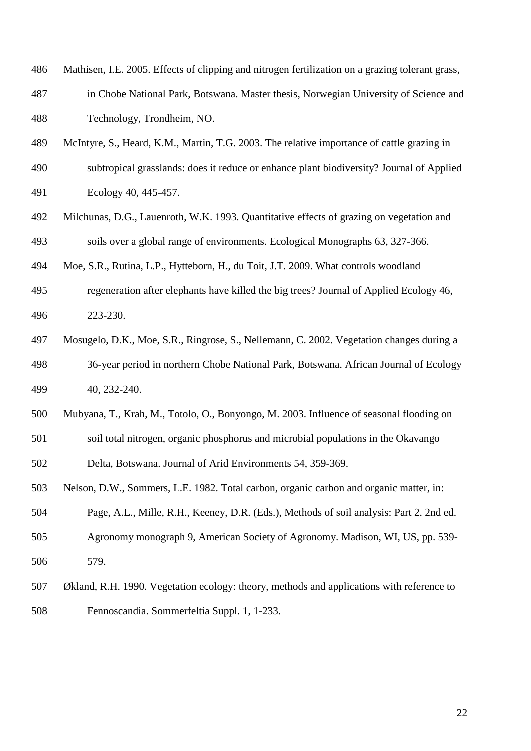- Mathisen, I.E. 2005. Effects of clipping and nitrogen fertilization on a grazing tolerant grass,
- in Chobe National Park, Botswana. Master thesis, Norwegian University of Science and Technology, Trondheim, NO.
- McIntyre, S., Heard, K.M., Martin, T.G. 2003. The relative importance of cattle grazing in
- subtropical grasslands: does it reduce or enhance plant biodiversity? Journal of Applied Ecology 40, 445-457.
- Milchunas, D.G., Lauenroth, W.K. 1993. Quantitative effects of grazing on vegetation and soils over a global range of environments. Ecological Monographs 63, 327-366.
- Moe, S.R., Rutina, L.P., Hytteborn, H., du Toit, J.T. 2009. What controls woodland
- regeneration after elephants have killed the big trees? Journal of Applied Ecology 46, 223-230.
- Mosugelo, D.K., Moe, S.R., Ringrose, S., Nellemann, C. 2002. Vegetation changes during a 36-year period in northern Chobe National Park, Botswana. African Journal of Ecology 40, 232-240.
- Mubyana, T., Krah, M., Totolo, O., Bonyongo, M. 2003. Influence of seasonal flooding on
- soil total nitrogen, organic phosphorus and microbial populations in the Okavango

Delta, Botswana. Journal of Arid Environments 54, 359-369.

- Nelson, D.W., Sommers, L.E. 1982. Total carbon, organic carbon and organic matter, in:
- Page, A.L., Mille, R.H., Keeney, D.R. (Eds.), Methods of soil analysis: Part 2. 2nd ed.
- Agronomy monograph 9, American Society of Agronomy. Madison, WI, US, pp. 539- 579.
- Økland, R.H. 1990. Vegetation ecology: theory, methods and applications with reference to Fennoscandia. Sommerfeltia Suppl. 1, 1-233.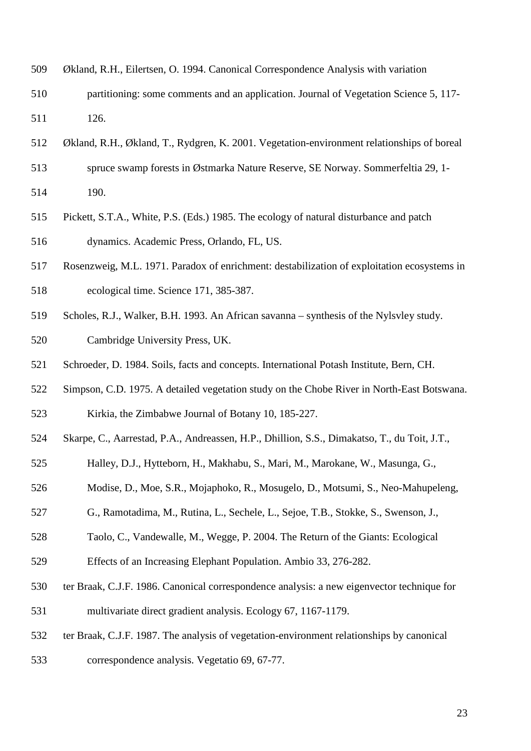- Økland, R.H., Eilertsen, O. 1994. Canonical Correspondence Analysis with variation
- partitioning: some comments and an application. Journal of Vegetation Science 5, 117- 126.
- Økland, R.H., Økland, T., Rydgren, K. 2001. Vegetation-environment relationships of boreal
- spruce swamp forests in Østmarka Nature Reserve, SE Norway. Sommerfeltia 29, 1-
- 190.
- Pickett, S.T.A., White, P.S. (Eds.) 1985. The ecology of natural disturbance and patch dynamics. Academic Press, Orlando, FL, US.
- Rosenzweig, M.L. 1971. Paradox of enrichment: destabilization of exploitation ecosystems in ecological time. Science 171, 385-387.
- Scholes, R.J., Walker, B.H. 1993. An African savanna synthesis of the Nylsvley study. Cambridge University Press, UK.
- Schroeder, D. 1984. Soils, facts and concepts. International Potash Institute, Bern, CH.
- Simpson, C.D. 1975. A detailed vegetation study on the Chobe River in North-East Botswana.
- Kirkia, the Zimbabwe Journal of Botany 10, 185-227.
- Skarpe, C., Aarrestad, P.A., Andreassen, H.P., Dhillion, S.S., Dimakatso, T., du Toit, J.T.,
- Halley, D.J., Hytteborn, H., Makhabu, S., Mari, M., Marokane, W., Masunga, G.,
- Modise, D., Moe, S.R., Mojaphoko, R., Mosugelo, D., Motsumi, S., Neo-Mahupeleng,
- G., Ramotadima, M., Rutina, L., Sechele, L., Sejoe, T.B., Stokke, S., Swenson, J.,
- Taolo, C., Vandewalle, M., Wegge, P. 2004. The Return of the Giants: Ecological
- Effects of an Increasing Elephant Population. Ambio 33, 276-282.
- ter Braak, C.J.F. 1986. Canonical correspondence analysis: a new eigenvector technique for
- multivariate direct gradient analysis. Ecology 67, 1167-1179.
- ter Braak, C.J.F. 1987. The analysis of vegetation-environment relationships by canonical
- correspondence analysis. Vegetatio 69, 67-77.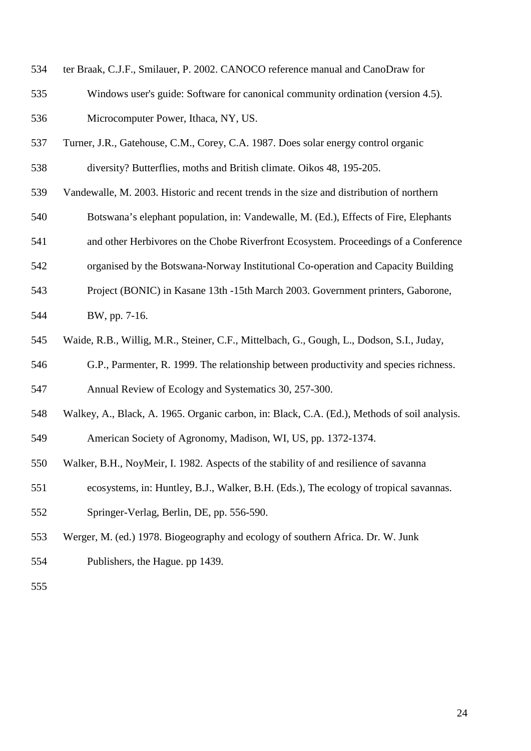- ter Braak, C.J.F., Smilauer, P. 2002. CANOCO reference manual and CanoDraw for
- Windows user's guide: Software for canonical community ordination (version 4.5). Microcomputer Power, Ithaca, NY, US.
- Turner, J.R., Gatehouse, C.M., Corey, C.A. 1987. Does solar energy control organic
- diversity? Butterflies, moths and British climate. Oikos 48, 195-205.
- Vandewalle, M. 2003. Historic and recent trends in the size and distribution of northern
- Botswana's elephant population, in: Vandewalle, M. (Ed.), Effects of Fire, Elephants
- and other Herbivores on the Chobe Riverfront Ecosystem. Proceedings of a Conference
- organised by the Botswana-Norway Institutional Co-operation and Capacity Building
- Project (BONIC) in Kasane 13th -15th March 2003. Government printers, Gaborone,

BW, pp. 7-16.

- Waide, R.B., Willig, M.R., Steiner, C.F., Mittelbach, G., Gough, L., Dodson, S.I., Juday,
- G.P., Parmenter, R. 1999. The relationship between productivity and species richness.

Annual Review of Ecology and Systematics 30, 257-300.

- Walkey, A., Black, A. 1965. Organic carbon, in: Black, C.A. (Ed.), Methods of soil analysis.
- American Society of Agronomy, Madison, WI, US, pp. 1372-1374.
- Walker, B.H., NoyMeir, I. 1982. Aspects of the stability of and resilience of savanna
- ecosystems, in: Huntley, B.J., Walker, B.H. (Eds.), The ecology of tropical savannas.
- Springer-Verlag, Berlin, DE, pp. 556-590.
- Werger, M. (ed.) 1978. Biogeography and ecology of southern Africa. Dr. W. Junk
- Publishers, the Hague. pp 1439.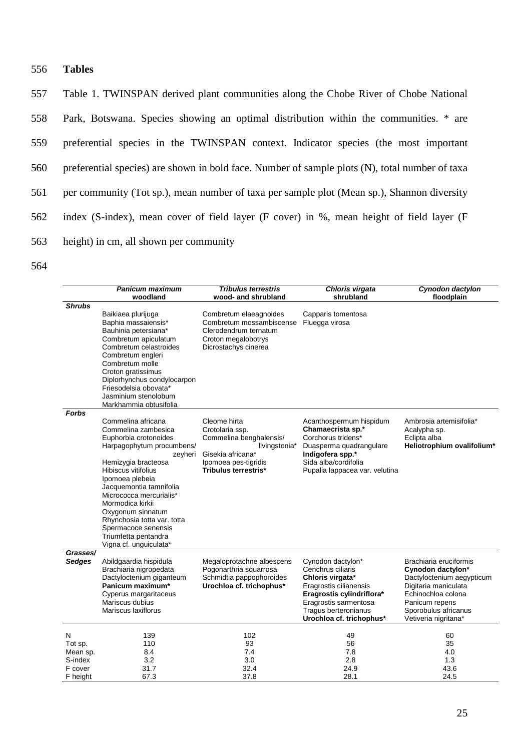# 556 **Tables**

 Table 1. TWINSPAN derived plant communities along the Chobe River of Chobe National Park, Botswana. Species showing an optimal distribution within the communities. \* are preferential species in the TWINSPAN context. Indicator species (the most important preferential species) are shown in bold face. Number of sample plots (N), total number of taxa per community (Tot sp.), mean number of taxa per sample plot (Mean sp.), Shannon diversity index (S-index), mean cover of field layer (F cover) in %, mean height of field layer (F height) in cm, all shown per community

|                                                            | Panicum maximum                                                                                                                                                                                                                                                                                                                                                                    | <b>Tribulus terrestris</b>                                                                                                                       | Chloris virgata                                                                                                                                                                                | Cynodon dactylon                                                                                                                                                                         |
|------------------------------------------------------------|------------------------------------------------------------------------------------------------------------------------------------------------------------------------------------------------------------------------------------------------------------------------------------------------------------------------------------------------------------------------------------|--------------------------------------------------------------------------------------------------------------------------------------------------|------------------------------------------------------------------------------------------------------------------------------------------------------------------------------------------------|------------------------------------------------------------------------------------------------------------------------------------------------------------------------------------------|
| <b>Shrubs</b>                                              | woodland                                                                                                                                                                                                                                                                                                                                                                           | wood- and shrubland                                                                                                                              | shrubland                                                                                                                                                                                      | floodplain                                                                                                                                                                               |
|                                                            | Baikiaea plurijuga<br>Baphia massaiensis*<br>Bauhinia petersiana*<br>Combretum apiculatum<br>Combretum celastroides<br>Combretum engleri<br>Combretum molle<br>Croton gratissimus<br>Diplorhynchus condylocarpon<br>Friesodelsia obovata*<br>Jasminium stenolobum<br>Markhammia obtusifolia                                                                                        | Combretum elaeagnoides<br>Combretum mossambiscense<br>Clerodendrum ternatum<br>Croton megalobotrys<br>Dicrostachys cinerea                       | Capparis tomentosa<br>Fluegga virosa                                                                                                                                                           |                                                                                                                                                                                          |
| <b>Forbs</b>                                               |                                                                                                                                                                                                                                                                                                                                                                                    |                                                                                                                                                  |                                                                                                                                                                                                |                                                                                                                                                                                          |
|                                                            | Commelina africana<br>Commelina zambesica<br>Euphorbia crotonoides<br>Harpagophytum procumbens/<br>zeyheri<br>Hemizygia bracteosa<br>Hibiscus vitifolius<br>Ipomoea plebeia<br>Jacquemontia tamnifolia<br>Micrococca mercurialis*<br>Mormodica kirkii<br>Oxygonum sinnatum<br>Rhynchosia totta var. totta<br>Spermacoce senensis<br>Triumfetta pentandra<br>Vigna cf. unguiculata* | Cleome hirta<br>Crotolaria ssp.<br>Commelina benghalensis/<br>livingstonia*<br>Gisekia africana*<br>Ipomoea pes-tigridis<br>Tribulus terrestris* | Acanthospermum hispidum<br>Chamaecrista sp.*<br>Corchorus tridens*<br>Duasperma quadrangulare<br>Indigofera spp.*<br>Sida alba/cordifolia<br>Pupalia lappacea var. velutina                    | Ambrosia artemisifolia*<br>Acalypha sp.<br>Eclipta alba<br>Heliotrophium ovalifolium*                                                                                                    |
| Grasses/<br><b>Sedges</b>                                  | Abildgaardia hispidula<br>Brachiaria nigropedata<br>Dactyloctenium giganteum<br>Panicum maximum*<br>Cyperus margaritaceus<br>Mariscus dubius<br>Mariscus laxiflorus                                                                                                                                                                                                                | Megaloprotachne albescens<br>Pogonarthria squarrosa<br>Schmidtia pappophoroides<br>Urochloa cf. trichophus*                                      | Cynodon dactylon*<br>Cenchrus ciliaris<br>Chloris virgata*<br>Eragrostis cilianensis<br>Eragrostis cylindriflora*<br>Eragrostis sarmentosa<br>Tragus berteronianus<br>Urochloa cf. trichophus* | Brachiaria eruciformis<br>Cynodon dactylon*<br>Dactyloctenium aegypticum<br>Digitaria maniculata<br>Echinochloa colona<br>Panicum repens<br>Sporobulus africanus<br>Vetiveria nigritana* |
| N<br>Tot sp.<br>Mean sp.<br>S-index<br>F cover<br>F height | 139<br>110<br>8.4<br>3.2<br>31.7<br>67.3                                                                                                                                                                                                                                                                                                                                           | 102<br>93<br>7.4<br>3.0<br>32.4<br>37.8                                                                                                          | 49<br>56<br>7.8<br>2.8<br>24.9<br>28.1                                                                                                                                                         | 60<br>35<br>4.0<br>1.3<br>43.6<br>24.5                                                                                                                                                   |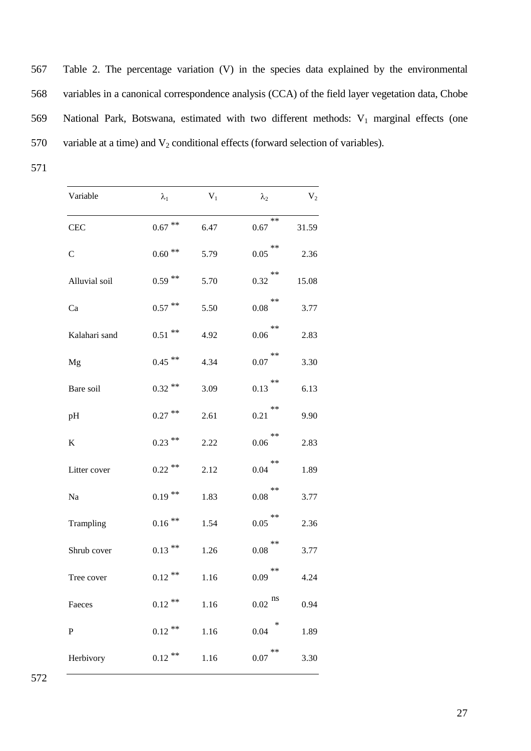| 567 | Table 2. The percentage variation (V) in the species data explained by the environmental         |
|-----|--------------------------------------------------------------------------------------------------|
| 568 | variables in a canonical correspondence analysis (CCA) of the field layer vegetation data, Chobe |
| 569 | National Park, Botswana, estimated with two different methods: $V_1$ marginal effects (one       |
| 570 | variable at a time) and $V_2$ conditional effects (forward selection of variables).              |

| Variable      | $\lambda_1$          | $V_1$ | $\lambda_2$   | V <sub>2</sub> |
|---------------|----------------------|-------|---------------|----------------|
| <b>CEC</b>    | $0.67$ **            | 6.47  | $**$<br>0.67  | 31.59          |
| $\mathbf C$   | $0.60$ $^{\ast\ast}$ | 5.79  | $***$<br>0.05 | 2.36           |
| Alluvial soil | $0.59$ **            | 5.70  | **<br>0.32    | 15.08          |
| Ca            | $0.57$ **            | 5.50  | **<br>0.08    | 3.77           |
| Kalahari sand | $0.51$ **            | 4.92  | $***$<br>0.06 | 2.83           |
| Mg            | $0.45$ **            | 4.34  | $***$<br>0.07 | 3.30           |
| Bare soil     | $0.32$ **            | 3.09  | $***$<br>0.13 | 6.13           |
| pH            | $0.27$ **            | 2.61  | **<br>0.21    | 9.90           |
| K             | $0.23$ **            | 2.22  | **<br>0.06    | 2.83           |
| Litter cover  | $0.22$ **            | 2.12  | **<br>0.04    | 1.89           |
| Na            | $0.19***$            | 1.83  | $**$<br>0.08  | 3.77           |
| Trampling     | $0.16$ **            | 1.54  | **<br>0.05    | 2.36           |
| Shrub cover   | $0.13$ **            | 1.26  | $***$<br>0.08 | 3.77           |
| Tree cover    | $0.12$ **            | 1.16  | $**$<br>0.09  | 4.24           |
| Faeces        | $0.12$ **            | 1.16  | ns<br>0.02    | 0.94           |
| $\mathbf P$   | $0.12$ **            | 1.16  | ∗<br>0.04     | 1.89           |
| Herbivory     | $0.12$ **            | 1.16  | **<br>0.07    | 3.30           |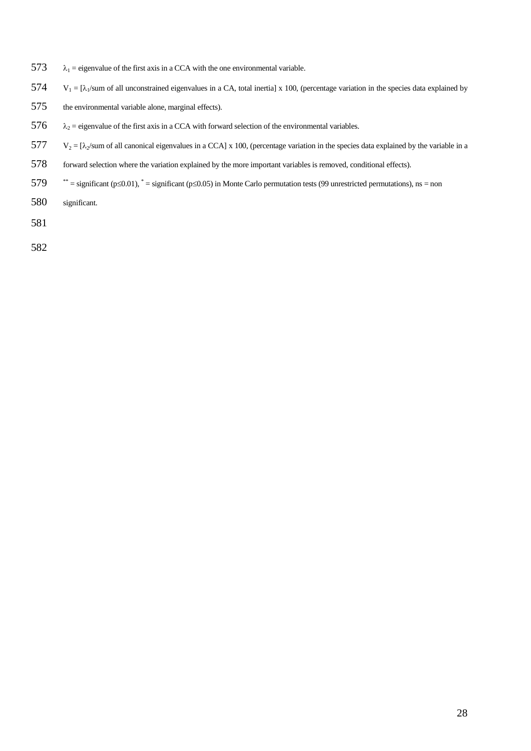- 573  $\lambda_1$  = eigenvalue of the first axis in a CCA with the one environmental variable.
- 574  $V_1 = [\lambda_1/\text{sum of all unconstrained eigenvalues in a CA, total inertial}] \times 100$ , (percentage variation in the species data explained by
- 575 the environmental variable alone, marginal effects).
- 576  $\lambda_2$  = eigenvalue of the first axis in a CCA with forward selection of the environmental variables.
- $577 \text{ V}_2 = [\lambda_2/\text{sum of all canonical eigenvalues in a CCA}] \times 100$ , (percentage variation in the species data explained by the variable in a
- 578 forward selection where the variation explained by the more important variables is removed, conditional effects).
- $579$  \*\* = significant (p≤0.01), \* = significant (p≤0.05) in Monte Carlo permutation tests (99 unrestricted permutations), ns = non
- 580 significant.
- 581
- 582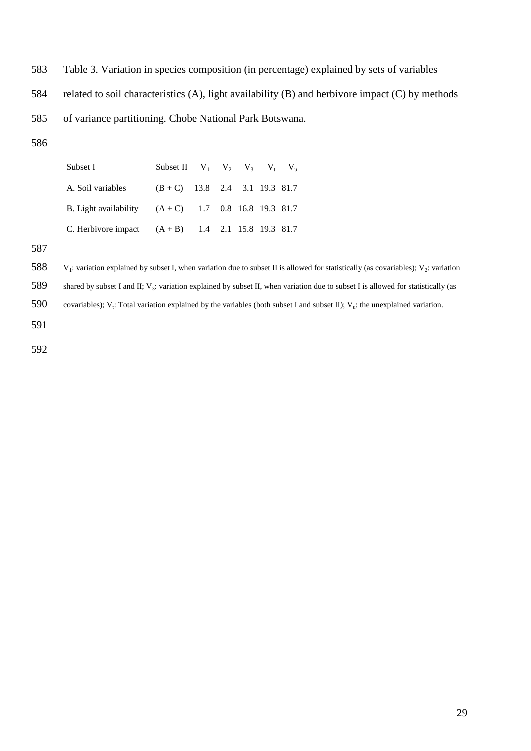- 583 Table 3. Variation in species composition (in percentage) explained by sets of variables
- 584 related to soil characteristics (A), light availability (B) and herbivore impact (C) by methods
- 585 of variance partitioning. Chobe National Park Botswana.
- 586

| Subset I                                             | Subset II $V_1$ $V_2$ $V_3$ $V_1$ $V_{\scriptscriptstyle\rm II}$ |  |  |  |
|------------------------------------------------------|------------------------------------------------------------------|--|--|--|
| A. Soil variables                                    | $(B+C)$ 13.8 2.4 3.1 19.3 81.7                                   |  |  |  |
| B. Light availability $(A+C)$ 1.7 0.8 16.8 19.3 81.7 |                                                                  |  |  |  |
| C. Herbivore impact $(A + B)$ 1.4 2.1 15.8 19.3 81.7 |                                                                  |  |  |  |

588  $V_1$ : variation explained by subset I, when variation due to subset II is allowed for statistically (as covariables);  $V_2$ : variation

589 shared by subset I and II;  $V_3$ : variation explained by subset II, when variation due to subset I is allowed for statistically (as

590 covariables); V<sub>t</sub>: Total variation explained by the variables (both subset I and subset II); V<sub>u</sub>: the unexplained variation.

591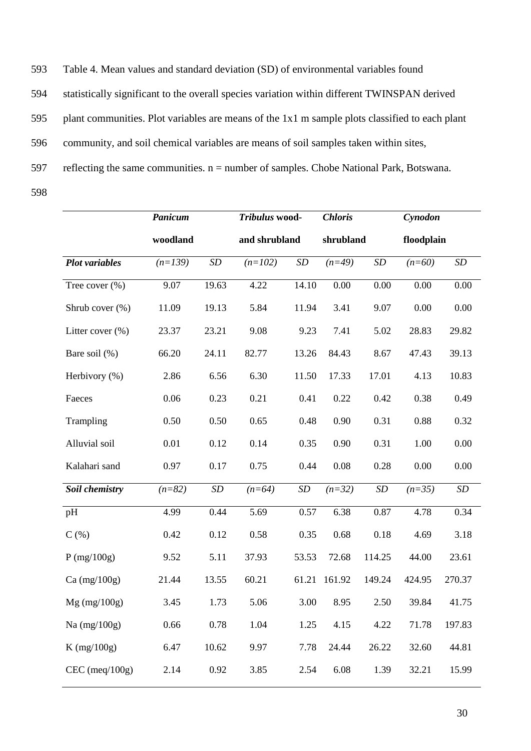593 Table 4. Mean values and standard deviation (SD) of environmental variables found

594 statistically significant to the overall species variation within different TWINSPAN derived

595 plant communities. Plot variables are means of the 1x1 m sample plots classified to each plant

596 community, and soil chemical variables are means of soil samples taken within sites,

597 reflecting the same communities.  $n =$  number of samples. Chobe National Park, Botswana.

|                       | Panicum   |                   | Tribulus wood- |                   | <b>Chloris</b> |        | Cynodon    |                   |
|-----------------------|-----------|-------------------|----------------|-------------------|----------------|--------|------------|-------------------|
|                       | woodland  |                   | and shrubland  |                   | shrubland      |        | floodplain |                   |
| <b>Plot</b> variables | $(n=139)$ | $\boldsymbol{SD}$ | $(n=102)$      | SD                | $(n=49)$       | SD     | $(n=60)$   | $\boldsymbol{SD}$ |
| Tree cover (%)        | 9.07      | 19.63             | 4.22           | 14.10             | 0.00           | 0.00   | 0.00       | 0.00              |
| Shrub cover $(\%)$    | 11.09     | 19.13             | 5.84           | 11.94             | 3.41           | 9.07   | 0.00       | 0.00              |
| Litter cover $(\% )$  | 23.37     | 23.21             | 9.08           | 9.23              | 7.41           | 5.02   | 28.83      | 29.82             |
| Bare soil (%)         | 66.20     | 24.11             | 82.77          | 13.26             | 84.43          | 8.67   | 47.43      | 39.13             |
| Herbivory (%)         | 2.86      | 6.56              | 6.30           | 11.50             | 17.33          | 17.01  | 4.13       | 10.83             |
| Faeces                | 0.06      | 0.23              | 0.21           | 0.41              | 0.22           | 0.42   | 0.38       | 0.49              |
| Trampling             | 0.50      | 0.50              | 0.65           | 0.48              | 0.90           | 0.31   | 0.88       | 0.32              |
| Alluvial soil         | 0.01      | 0.12              | 0.14           | 0.35              | 0.90           | 0.31   | 1.00       | 0.00              |
| Kalahari sand         | 0.97      | 0.17              | 0.75           | 0.44              | 0.08           | 0.28   | 0.00       | 0.00              |
| Soil chemistry        | $(n=82)$  | $\boldsymbol{SD}$ | $(n=64)$       | $\boldsymbol{SD}$ | $(n=32)$       | SD     | $(n=35)$   | $\boldsymbol{SD}$ |
| pH                    | 4.99      | 0.44              | 5.69           | 0.57              | 6.38           | 0.87   | 4.78       | 0.34              |
| $C($ %)               | 0.42      | 0.12              | 0.58           | 0.35              | 0.68           | 0.18   | 4.69       | 3.18              |
| P (mg/100g)           | 9.52      | 5.11              | 37.93          | 53.53             | 72.68          | 114.25 | 44.00      | 23.61             |
| $Ca$ (mg/100g)        | 21.44     | 13.55             | 60.21          | 61.21             | 161.92         | 149.24 | 424.95     | 270.37            |
| $Mg$ (mg/100g)        | 3.45      | 1.73              | 5.06           | 3.00              | 8.95           | 2.50   | 39.84      | 41.75             |
| Na $(mg/100g)$        | 0.66      | 0.78              | 1.04           | 1.25              | 4.15           | 4.22   | 71.78      | 197.83            |
| $K$ (mg/100g)         | 6.47      | 10.62             | 9.97           | 7.78              | 24.44          | 26.22  | 32.60      | 44.81             |
| $CEC$ (meq/ $100g$ )  | 2.14      | 0.92              | 3.85           | 2.54              | 6.08           | 1.39   | 32.21      | 15.99             |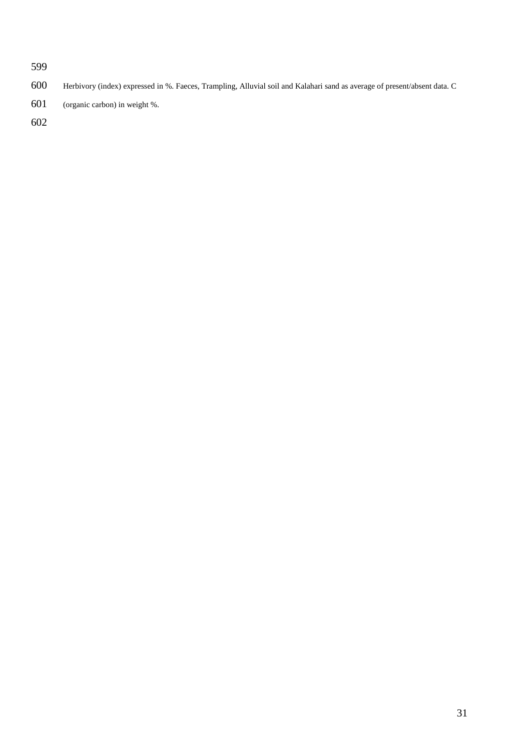- Herbivory (index) expressed in %. Faeces, Trampling, Alluvial soil and Kalahari sand as average of present/absent data. C
- (organic carbon) in weight %.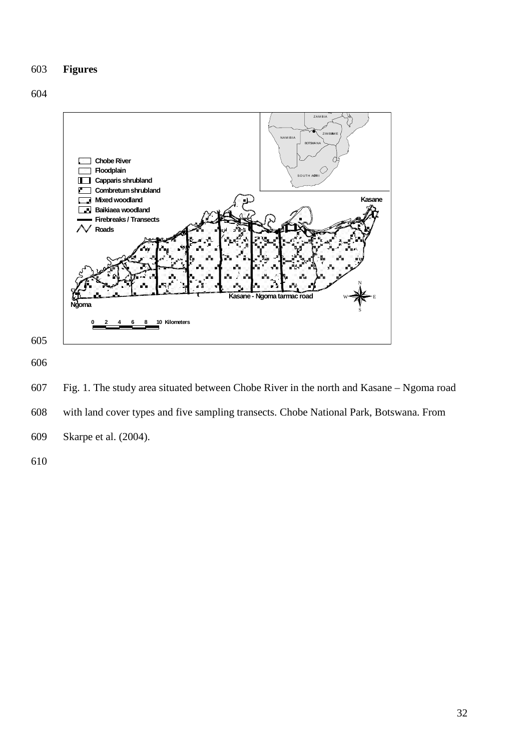# 603 **Figures**





606

607 Fig. 1. The study area situated between Chobe River in the north and Kasane – Ngoma road 608 with land cover types and five sampling transects. Chobe National Park, Botswana. From 609 Skarpe et al. (2004).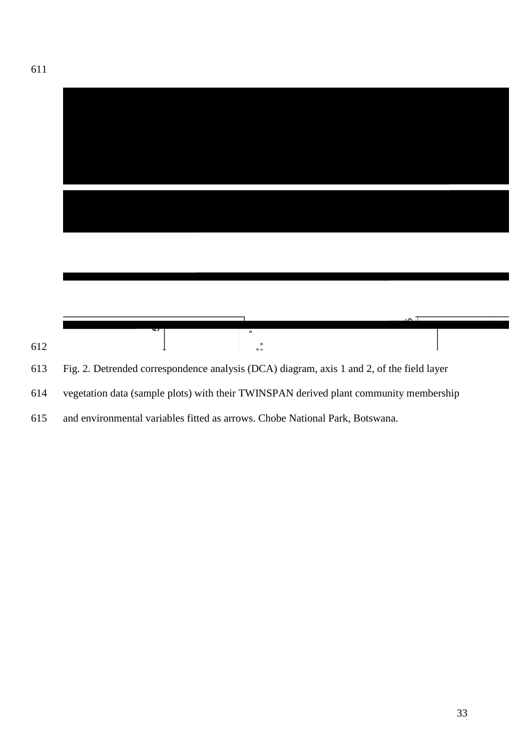|   | $\bullet$                   | تحم |
|---|-----------------------------|-----|
| 5 |                             |     |
|   | $\bullet$<br>0 <sub>0</sub> |     |

and environmental variables fitted as arrows. Chobe National Park, Botswana.